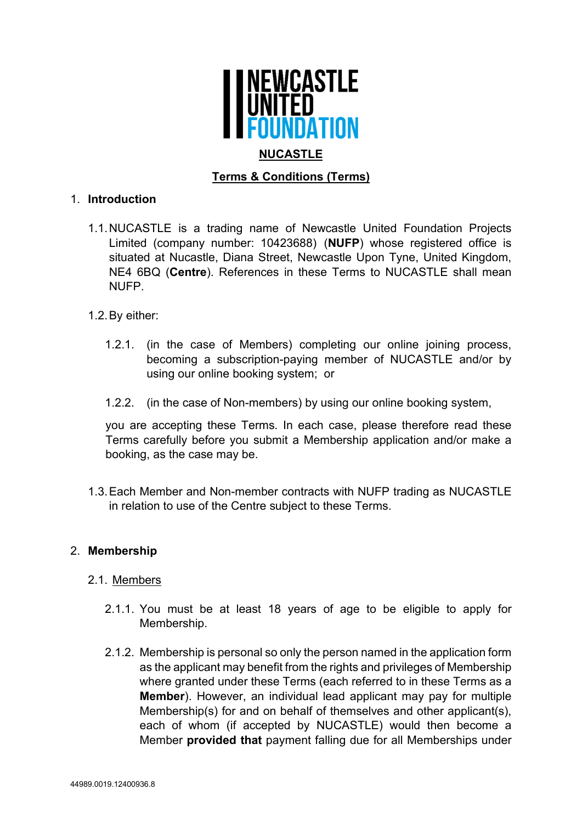

# **Terms & Conditions (Terms)**

## 1. **Introduction**

1.1. NUCASTLE is a trading name of Newcastle United Foundation Projects Limited (company number: 10423688) (**NUFP**) whose registered office is situated at Nucastle, Diana Street, Newcastle Upon Tyne, United Kingdom, NE4 6BQ (**Centre**). References in these Terms to NUCASTLE shall mean NUFP.

## 1.2. By either:

- 1.2.1. (in the case of Members) completing our online joining process, becoming a subscription-paying member of NUCASTLE and/or by using our online booking system; or
- 1.2.2. (in the case of Non-members) by using our online booking system,

you are accepting these Terms. In each case, please therefore read these Terms carefully before you submit a Membership application and/or make a booking, as the case may be.

1.3. Each Member and Non-member contracts with NUFP trading as NUCASTLE in relation to use of the Centre subject to these Terms.

### 2. **Membership**

### 2.1. Members

- 2.1.1. You must be at least 18 years of age to be eligible to apply for Membership.
- 2.1.2. Membership is personal so only the person named in the application form as the applicant may benefit from the rights and privileges of Membership where granted under these Terms (each referred to in these Terms as a **Member**). However, an individual lead applicant may pay for multiple Membership(s) for and on behalf of themselves and other applicant(s), each of whom (if accepted by NUCASTLE) would then become a Member **provided that** payment falling due for all Memberships under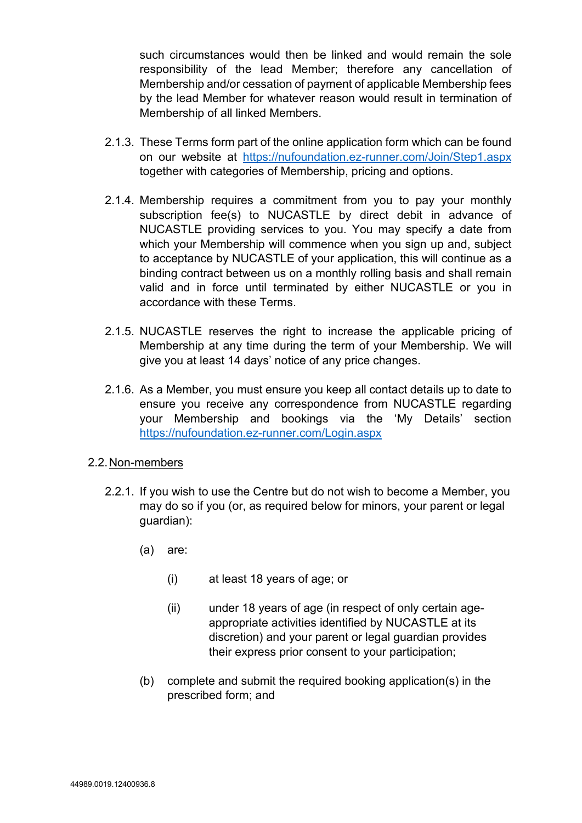such circumstances would then be linked and would remain the sole responsibility of the lead Member; therefore any cancellation of Membership and/or cessation of payment of applicable Membership fees by the lead Member for whatever reason would result in termination of Membership of all linked Members.

- 2.1.3. These Terms form part of the online application form which can be found on our website at https://nufoundation.ez-runner.com/Join/Step1.aspx together with categories of Membership, pricing and options.
- 2.1.4. Membership requires a commitment from you to pay your monthly subscription fee(s) to NUCASTLE by direct debit in advance of NUCASTLE providing services to you. You may specify a date from which your Membership will commence when you sign up and, subject to acceptance by NUCASTLE of your application, this will continue as a binding contract between us on a monthly rolling basis and shall remain valid and in force until terminated by either NUCASTLE or you in accordance with these Terms.
- 2.1.5. NUCASTLE reserves the right to increase the applicable pricing of Membership at any time during the term of your Membership. We will give you at least 14 days' notice of any price changes.
- 2.1.6. As a Member, you must ensure you keep all contact details up to date to ensure you receive any correspondence from NUCASTLE regarding your Membership and bookings via the 'My Details' section https://nufoundation.ez-runner.com/Login.aspx

### 2.2. Non-members

- 2.2.1. If you wish to use the Centre but do not wish to become a Member, you may do so if you (or, as required below for minors, your parent or legal guardian):
	- (a) are:
		- (i) at least 18 years of age; or
		- (ii) under 18 years of age (in respect of only certain ageappropriate activities identified by NUCASTLE at its discretion) and your parent or legal guardian provides their express prior consent to your participation;
	- (b) complete and submit the required booking application(s) in the prescribed form; and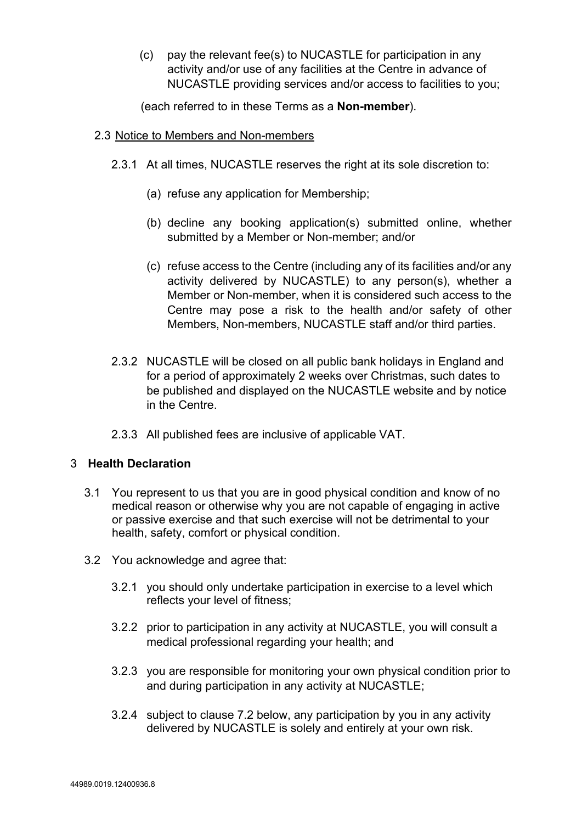(c) pay the relevant fee(s) to NUCASTLE for participation in any activity and/or use of any facilities at the Centre in advance of NUCASTLE providing services and/or access to facilities to you;

(each referred to in these Terms as a **Non-member**).

- 2.3 Notice to Members and Non-members
	- 2.3.1 At all times, NUCASTLE reserves the right at its sole discretion to:
		- (a) refuse any application for Membership;
		- (b) decline any booking application(s) submitted online, whether submitted by a Member or Non-member; and/or
		- (c) refuse access to the Centre (including any of its facilities and/or any activity delivered by NUCASTLE) to any person(s), whether a Member or Non-member, when it is considered such access to the Centre may pose a risk to the health and/or safety of other Members, Non-members, NUCASTLE staff and/or third parties.
	- 2.3.2 NUCASTLE will be closed on all public bank holidays in England and for a period of approximately 2 weeks over Christmas, such dates to be published and displayed on the NUCASTLE website and by notice in the Centre.
	- 2.3.3 All published fees are inclusive of applicable VAT.

# 3 **Health Declaration**

- 3.1 You represent to us that you are in good physical condition and know of no medical reason or otherwise why you are not capable of engaging in active or passive exercise and that such exercise will not be detrimental to your health, safety, comfort or physical condition.
- 3.2 You acknowledge and agree that:
	- 3.2.1 you should only undertake participation in exercise to a level which reflects your level of fitness;
	- 3.2.2 prior to participation in any activity at NUCASTLE, you will consult a medical professional regarding your health; and
	- 3.2.3 you are responsible for monitoring your own physical condition prior to and during participation in any activity at NUCASTLE;
	- 3.2.4 subject to clause 7.2 below, any participation by you in any activity delivered by NUCASTLE is solely and entirely at your own risk.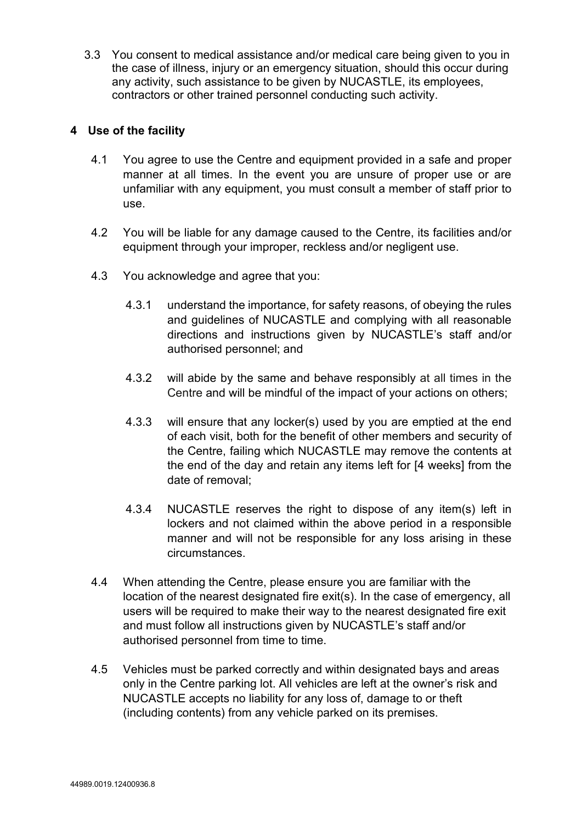3.3 You consent to medical assistance and/or medical care being given to you in the case of illness, injury or an emergency situation, should this occur during any activity, such assistance to be given by NUCASTLE, its employees, contractors or other trained personnel conducting such activity.

## **4 Use of the facility**

- 4.1 You agree to use the Centre and equipment provided in a safe and proper manner at all times. In the event you are unsure of proper use or are unfamiliar with any equipment, you must consult a member of staff prior to use.
- 4.2 You will be liable for any damage caused to the Centre, its facilities and/or equipment through your improper, reckless and/or negligent use.
- 4.3 You acknowledge and agree that you:
	- 4.3.1 understand the importance, for safety reasons, of obeying the rules and guidelines of NUCASTLE and complying with all reasonable directions and instructions given by NUCASTLE's staff and/or authorised personnel; and
	- 4.3.2 will abide by the same and behave responsibly at all times in the Centre and will be mindful of the impact of your actions on others;
	- 4.3.3 will ensure that any locker(s) used by you are emptied at the end of each visit, both for the benefit of other members and security of the Centre, failing which NUCASTLE may remove the contents at the end of the day and retain any items left for [4 weeks] from the date of removal;
	- 4.3.4 NUCASTLE reserves the right to dispose of any item(s) left in lockers and not claimed within the above period in a responsible manner and will not be responsible for any loss arising in these circumstances.
- 4.4 When attending the Centre, please ensure you are familiar with the location of the nearest designated fire exit(s). In the case of emergency, all users will be required to make their way to the nearest designated fire exit and must follow all instructions given by NUCASTLE's staff and/or authorised personnel from time to time.
- 4.5 Vehicles must be parked correctly and within designated bays and areas only in the Centre parking lot. All vehicles are left at the owner's risk and NUCASTLE accepts no liability for any loss of, damage to or theft (including contents) from any vehicle parked on its premises.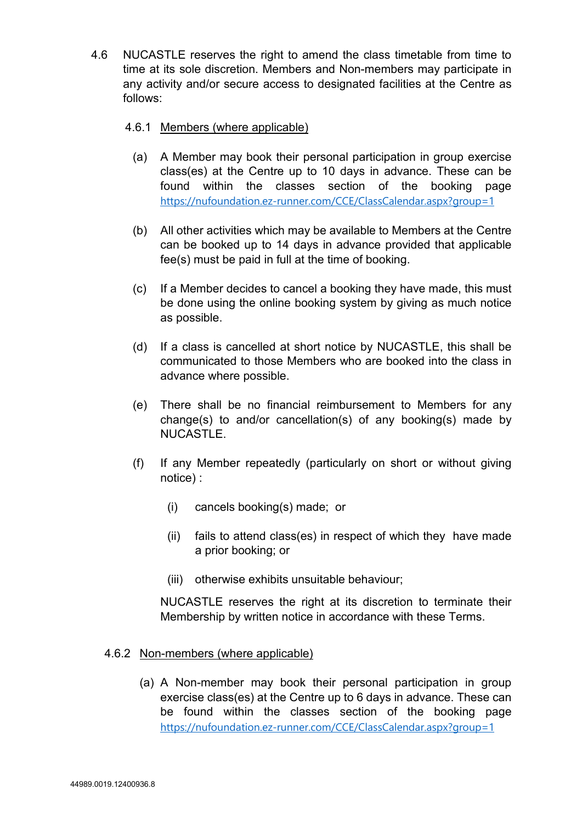4.6 NUCASTLE reserves the right to amend the class timetable from time to time at its sole discretion. Members and Non-members may participate in any activity and/or secure access to designated facilities at the Centre as follows:

## 4.6.1 Members (where applicable)

- (a) A Member may book their personal participation in group exercise class(es) at the Centre up to 10 days in advance. These can be found within the classes section of the booking page https://nufoundation.ez-runner.com/CCE/ClassCalendar.aspx?group=1
- (b) All other activities which may be available to Members at the Centre can be booked up to 14 days in advance provided that applicable fee(s) must be paid in full at the time of booking.
- (c) If a Member decides to cancel a booking they have made, this must be done using the online booking system by giving as much notice as possible.
- (d) If a class is cancelled at short notice by NUCASTLE, this shall be communicated to those Members who are booked into the class in advance where possible.
- (e) There shall be no financial reimbursement to Members for any change(s) to and/or cancellation(s) of any booking(s) made by NUCASTLE.
- (f) If any Member repeatedly (particularly on short or without giving notice) :
	- (i) cancels booking(s) made; or
	- (ii) fails to attend class(es) in respect of which they have made a prior booking; or
	- (iii) otherwise exhibits unsuitable behaviour;

NUCASTLE reserves the right at its discretion to terminate their Membership by written notice in accordance with these Terms.

### 4.6.2 Non-members (where applicable)

(a) A Non-member may book their personal participation in group exercise class(es) at the Centre up to 6 days in advance. These can be found within the classes section of the booking page https://nufoundation.ez-runner.com/CCE/ClassCalendar.aspx?group=1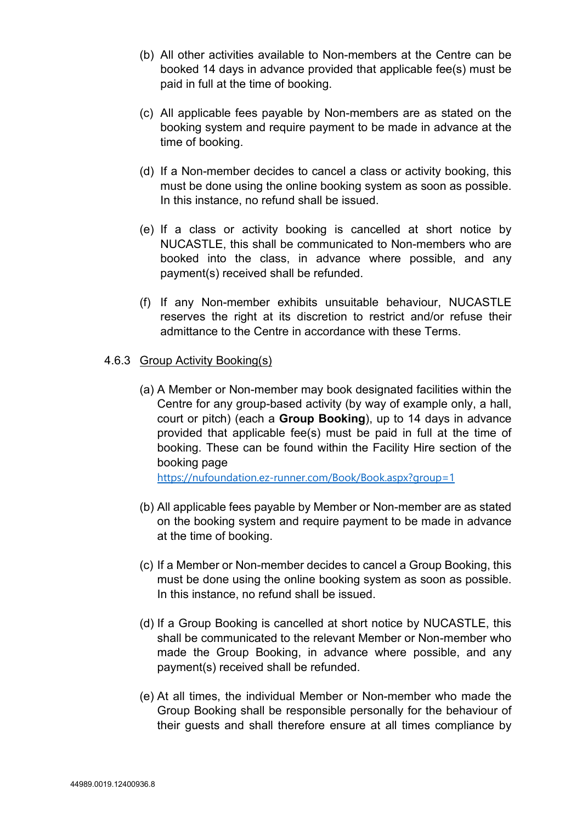- (b) All other activities available to Non-members at the Centre can be booked 14 days in advance provided that applicable fee(s) must be paid in full at the time of booking.
- (c) All applicable fees payable by Non-members are as stated on the booking system and require payment to be made in advance at the time of booking.
- (d) If a Non-member decides to cancel a class or activity booking, this must be done using the online booking system as soon as possible. In this instance, no refund shall be issued.
- (e) If a class or activity booking is cancelled at short notice by NUCASTLE, this shall be communicated to Non-members who are booked into the class, in advance where possible, and any payment(s) received shall be refunded.
- (f) If any Non-member exhibits unsuitable behaviour, NUCASTLE reserves the right at its discretion to restrict and/or refuse their admittance to the Centre in accordance with these Terms.

### 4.6.3 Group Activity Booking(s)

(a) A Member or Non-member may book designated facilities within the Centre for any group-based activity (by way of example only, a hall, court or pitch) (each a **Group Booking**), up to 14 days in advance provided that applicable fee(s) must be paid in full at the time of booking. These can be found within the Facility Hire section of the booking page

https://nufoundation.ez-runner.com/Book/Book.aspx?group=1

- (b) All applicable fees payable by Member or Non-member are as stated on the booking system and require payment to be made in advance at the time of booking.
- (c) If a Member or Non-member decides to cancel a Group Booking, this must be done using the online booking system as soon as possible. In this instance, no refund shall be issued.
- (d) If a Group Booking is cancelled at short notice by NUCASTLE, this shall be communicated to the relevant Member or Non-member who made the Group Booking, in advance where possible, and any payment(s) received shall be refunded.
- (e) At all times, the individual Member or Non-member who made the Group Booking shall be responsible personally for the behaviour of their guests and shall therefore ensure at all times compliance by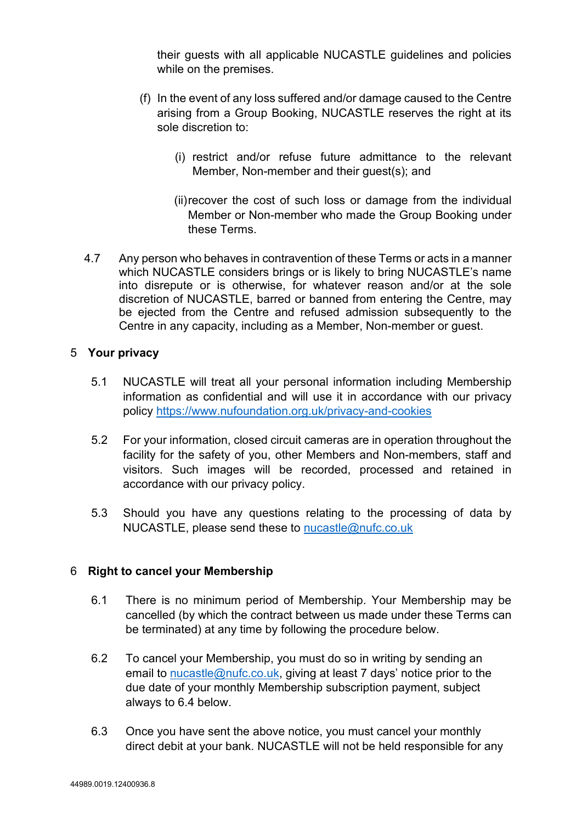their guests with all applicable NUCASTLE guidelines and policies while on the premises.

- (f) In the event of any loss suffered and/or damage caused to the Centre arising from a Group Booking, NUCASTLE reserves the right at its sole discretion to:
	- (i) restrict and/or refuse future admittance to the relevant Member, Non-member and their guest(s); and
	- (ii) recover the cost of such loss or damage from the individual Member or Non-member who made the Group Booking under these Terms.
- 4.7 Any person who behaves in contravention of these Terms or acts in a manner which NUCASTLE considers brings or is likely to bring NUCASTLE's name into disrepute or is otherwise, for whatever reason and/or at the sole discretion of NUCASTLE, barred or banned from entering the Centre, may be ejected from the Centre and refused admission subsequently to the Centre in any capacity, including as a Member, Non-member or guest.

### 5 **Your privacy**

- 5.1 NUCASTLE will treat all your personal information including Membership information as confidential and will use it in accordance with our privacy policy https://www.nufoundation.org.uk/privacy-and-cookies
- 5.2 For your information, closed circuit cameras are in operation throughout the facility for the safety of you, other Members and Non-members, staff and visitors. Such images will be recorded, processed and retained in accordance with our privacy policy.
- 5.3 Should you have any questions relating to the processing of data by NUCASTLE, please send these to nucastle@nufc.co.uk

# 6 **Right to cancel your Membership**

- 6.1 There is no minimum period of Membership. Your Membership may be cancelled (by which the contract between us made under these Terms can be terminated) at any time by following the procedure below.
- 6.2 To cancel your Membership, you must do so in writing by sending an email to nucastle@nufc.co.uk, giving at least 7 days' notice prior to the due date of your monthly Membership subscription payment, subject always to 6.4 below.
- 6.3 Once you have sent the above notice, you must cancel your monthly direct debit at your bank. NUCASTLE will not be held responsible for any